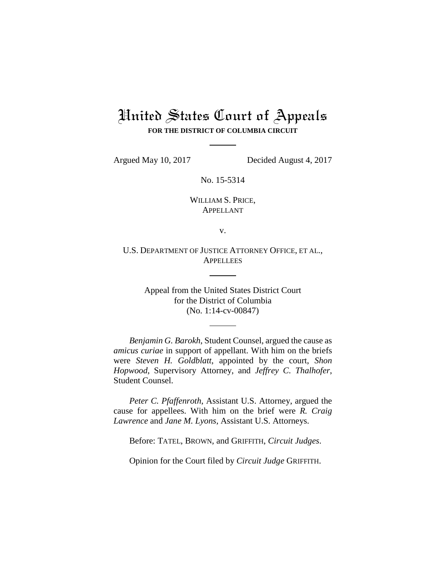# United States Court of Appeals **FOR THE DISTRICT OF COLUMBIA CIRCUIT**

Argued May 10, 2017 Decided August 4, 2017

No. 15-5314

WILLIAM S. PRICE, APPELLANT

v.

U.S. DEPARTMENT OF JUSTICE ATTORNEY OFFICE, ET AL., **APPELLEES** 

> Appeal from the United States District Court for the District of Columbia (No. 1:14-cv-00847)

*Benjamin G. Barokh*, Student Counsel, argued the cause as *amicus curiae* in support of appellant. With him on the briefs were *Steven H. Goldblatt*, appointed by the court, *Shon Hopwood*, Supervisory Attorney, and *Jeffrey C. Thalhofer*, Student Counsel.

*Peter C. Pfaffenroth*, Assistant U.S. Attorney, argued the cause for appellees. With him on the brief were *R. Craig Lawrence* and *Jane M. Lyons*, Assistant U.S. Attorneys.

Before: TATEL, BROWN, and GRIFFITH, *Circuit Judges*.

Opinion for the Court filed by *Circuit Judge* GRIFFITH.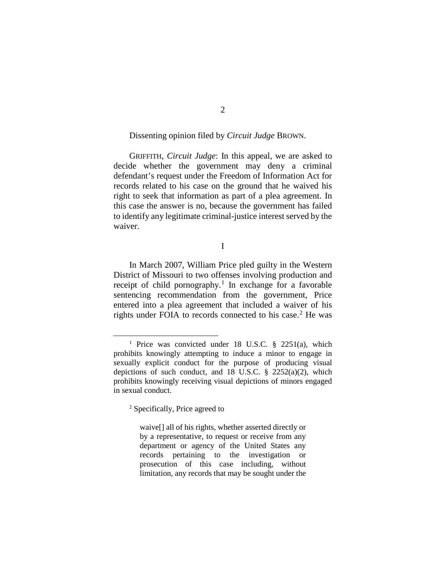# Dissenting opinion filed by *Circuit Judge* BROWN.

GRIFFITH, *Circuit Judge*: In this appeal, we are asked to decide whether the government may deny a criminal defendant's request under the Freedom of Information Act for records related to his case on the ground that he waived his right to seek that information as part of a plea agreement. In this case the answer is no, because the government has failed to identify any legitimate criminal-justice interest served by the waiver.

I

In March 2007, William Price pled guilty in the Western District of Missouri to two offenses involving production and receipt of child pornography.<sup>[1](#page-1-0)</sup> In exchange for a favorable sentencing recommendation from the government, Price entered into a plea agreement that included a waiver of his rights under FOIA to records connected to his case. [2](#page-1-1) He was

<span id="page-1-0"></span><sup>&</sup>lt;sup>1</sup> Price was convicted under 18 U.S.C.  $\frac{8}{2251(a)}$ , which prohibits knowingly attempting to induce a minor to engage in sexually explicit conduct for the purpose of producing visual depictions of such conduct, and  $18$  U.S.C. §  $2252(a)(2)$ , which prohibits knowingly receiving visual depictions of minors engaged in sexual conduct.

<span id="page-1-1"></span><sup>2</sup> Specifically, Price agreed to

waive[] all of his rights, whether asserted directly or by a representative, to request or receive from any department or agency of the United States any records pertaining to the investigation or prosecution of this case including, without limitation, any records that may be sought under the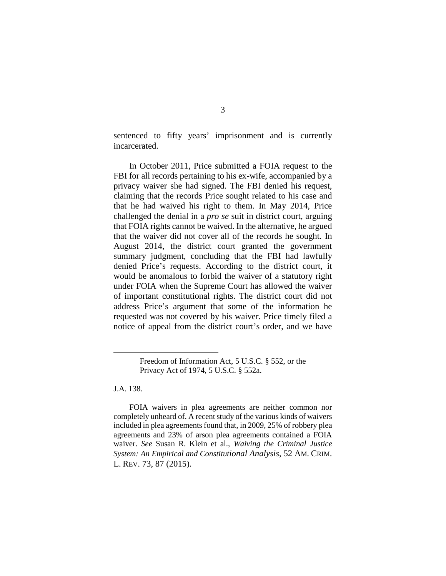sentenced to fifty years' imprisonment and is currently incarcerated.

In October 2011, Price submitted a FOIA request to the FBI for all records pertaining to his ex-wife, accompanied by a privacy waiver she had signed. The FBI denied his request, claiming that the records Price sought related to his case and that he had waived his right to them. In May 2014, Price challenged the denial in a *pro se* suit in district court, arguing that FOIA rights cannot be waived. In the alternative, he argued that the waiver did not cover all of the records he sought. In August 2014, the district court granted the government summary judgment, concluding that the FBI had lawfully denied Price's requests. According to the district court, it would be anomalous to forbid the waiver of a statutory right under FOIA when the Supreme Court has allowed the waiver of important constitutional rights. The district court did not address Price's argument that some of the information he requested was not covered by his waiver. Price timely filed a notice of appeal from the district court's order, and we have

J.A. 138.

 $\overline{a}$ 

Freedom of Information Act, 5 U.S.C. § 552, or the Privacy Act of 1974, 5 U.S.C. § 552a.

FOIA waivers in plea agreements are neither common nor completely unheard of. A recent study of the various kinds of waivers included in plea agreements found that, in 2009, 25% of robbery plea agreements and 23% of arson plea agreements contained a FOIA waiver. *See* Susan R. Klein et al., *Waiving the Criminal Justice System: An Empirical and Constitutional Analysis*, 52 AM. CRIM. L. REV. 73, 87 (2015).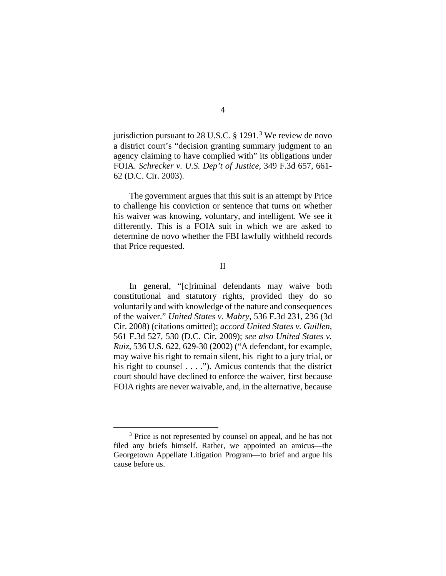jurisdiction pursuant to 28 U.S.C.  $\S$  1291.<sup>[3](#page-3-0)</sup> We review de novo a district court's "decision granting summary judgment to an agency claiming to have complied with" its obligations under FOIA. *Schrecker v. U.S. Dep't of Justice*, 349 F.3d 657, 661- 62 (D.C. Cir. 2003).

The government argues that this suit is an attempt by Price to challenge his conviction or sentence that turns on whether his waiver was knowing, voluntary, and intelligent. We see it differently. This is a FOIA suit in which we are asked to determine de novo whether the FBI lawfully withheld records that Price requested.

II

In general, "[c]riminal defendants may waive both constitutional and statutory rights, provided they do so voluntarily and with knowledge of the nature and consequences of the waiver." *United States v. Mabry*, 536 F.3d 231, 236 (3d Cir. 2008) (citations omitted); *accord United States v. Guillen*, 561 F.3d 527, 530 (D.C. Cir. 2009); *see also United States v. Ruiz*, 536 U.S. 622, 629-30 (2002) ("A defendant, for example, may waive his right to remain silent, his right to a jury trial, or his right to counsel  $\dots$ ."). Amicus contends that the district court should have declined to enforce the waiver, first because FOIA rights are never waivable, and, in the alternative, because

<span id="page-3-0"></span><sup>&</sup>lt;sup>3</sup> Price is not represented by counsel on appeal, and he has not filed any briefs himself. Rather, we appointed an amicus—the Georgetown Appellate Litigation Program—to brief and argue his cause before us.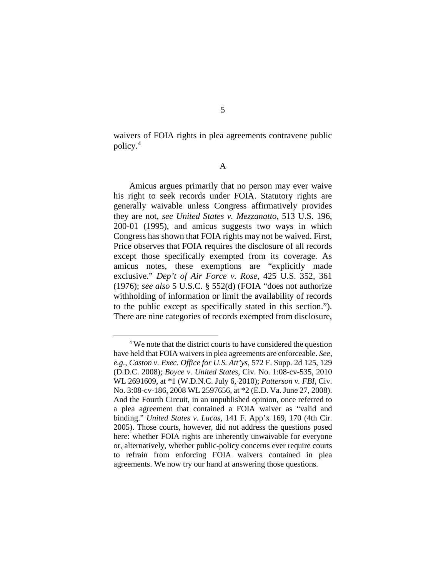waivers of FOIA rights in plea agreements contravene public policy.[4](#page-4-0)

A

Amicus argues primarily that no person may ever waive his right to seek records under FOIA. Statutory rights are generally waivable unless Congress affirmatively provides they are not, *see United States v. Mezzanatto*, 513 U.S. 196, 200-01 (1995), and amicus suggests two ways in which Congress has shown that FOIA rights may not be waived. First, Price observes that FOIA requires the disclosure of all records except those specifically exempted from its coverage. As amicus notes, these exemptions are "explicitly made exclusive." *Dep't of Air Force v. Rose*, 425 U.S. 352, 361 (1976); *see also* 5 U.S.C. § 552(d) (FOIA "does not authorize withholding of information or limit the availability of records to the public except as specifically stated in this section."). There are nine categories of records exempted from disclosure,

<span id="page-4-0"></span> <sup>4</sup> We note that the district courts to have considered the question have held that FOIA waivers in plea agreements are enforceable. *See, e.g.*, *Caston v. Exec. Office for U.S. Att'ys*, 572 F. Supp. 2d 125, 129 (D.D.C. 2008); *Boyce v. United States*, Civ. No. 1:08-cv-535, 2010 WL 2691609, at \*1 (W.D.N.C. July 6, 2010); *Patterson v. FBI*, Civ. No. 3:08-cv-186, 2008 WL 2597656, at \*2 (E.D. Va. June 27, 2008). And the Fourth Circuit, in an unpublished opinion, once referred to a plea agreement that contained a FOIA waiver as "valid and binding." *United States v. Lucas*, 141 F. App'x 169, 170 (4th Cir. 2005). Those courts, however, did not address the questions posed here: whether FOIA rights are inherently unwaivable for everyone or, alternatively, whether public-policy concerns ever require courts to refrain from enforcing FOIA waivers contained in plea agreements. We now try our hand at answering those questions.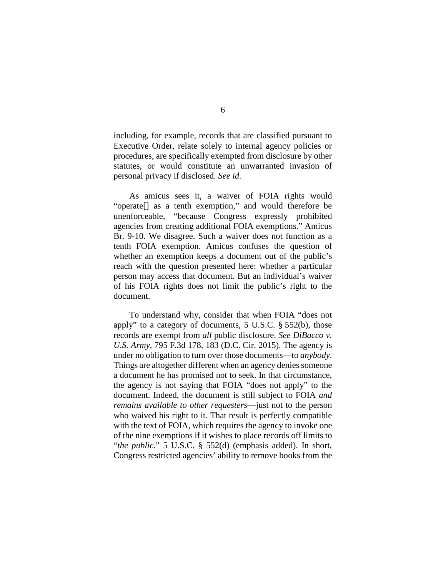including, for example, records that are classified pursuant to Executive Order, relate solely to internal agency policies or procedures, are specifically exempted from disclosure by other statutes, or would constitute an unwarranted invasion of personal privacy if disclosed. *See id.*

As amicus sees it, a waiver of FOIA rights would "operate[] as a tenth exemption," and would therefore be unenforceable, "because Congress expressly prohibited agencies from creating additional FOIA exemptions." Amicus Br. 9-10. We disagree. Such a waiver does not function as a tenth FOIA exemption. Amicus confuses the question of whether an exemption keeps a document out of the public's reach with the question presented here: whether a particular person may access that document. But an individual's waiver of his FOIA rights does not limit the public's right to the document.

To understand why, consider that when FOIA "does not apply" to a category of documents, 5 U.S.C. § 552(b), those records are exempt from *all* public disclosure. *See DiBacco v. U.S. Army*, 795 F.3d 178, 183 (D.C. Cir. 2015). The agency is under no obligation to turn over those documents—to *anybody*. Things are altogether different when an agency denies someone a document he has promised not to seek. In that circumstance, the agency is not saying that FOIA "does not apply" to the document. Indeed, the document is still subject to FOIA *and remains available to other requesters*—just not to the person who waived his right to it. That result is perfectly compatible with the text of FOIA, which requires the agency to invoke one of the nine exemptions if it wishes to place records off limits to "*the public*." 5 U.S.C. § 552(d) (emphasis added). In short, Congress restricted agencies' ability to remove books from the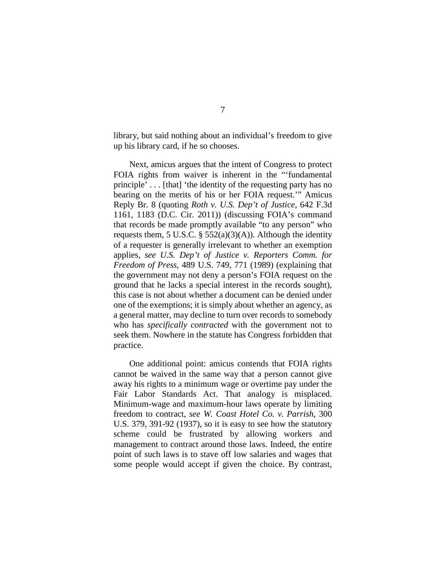library, but said nothing about an individual's freedom to give up his library card, if he so chooses.

Next, amicus argues that the intent of Congress to protect FOIA rights from waiver is inherent in the "'fundamental principle' . . . [that] 'the identity of the requesting party has no bearing on the merits of his or her FOIA request.'" Amicus Reply Br. 8 (quoting *Roth v. U.S. Dep't of Justice*, 642 F.3d 1161, 1183 (D.C. Cir. 2011)) (discussing FOIA's command that records be made promptly available "to any person" who requests them, 5 U.S.C.  $\S$  552(a)(3)(A)). Although the identity of a requester is generally irrelevant to whether an exemption applies, *see U.S. Dep't of Justice v. Reporters Comm. for Freedom of Press*, 489 U.S. 749, 771 (1989) (explaining that the government may not deny a person's FOIA request on the ground that he lacks a special interest in the records sought), this case is not about whether a document can be denied under one of the exemptions; it is simply about whether an agency, as a general matter, may decline to turn over records to somebody who has *specifically contracted* with the government not to seek them. Nowhere in the statute has Congress forbidden that practice.

One additional point: amicus contends that FOIA rights cannot be waived in the same way that a person cannot give away his rights to a minimum wage or overtime pay under the Fair Labor Standards Act. That analogy is misplaced. Minimum-wage and maximum-hour laws operate by limiting freedom to contract, *see W. Coast Hotel Co. v. Parrish*, 300 U.S. 379, 391-92 (1937), so it is easy to see how the statutory scheme could be frustrated by allowing workers and management to contract around those laws. Indeed, the entire point of such laws is to stave off low salaries and wages that some people would accept if given the choice. By contrast,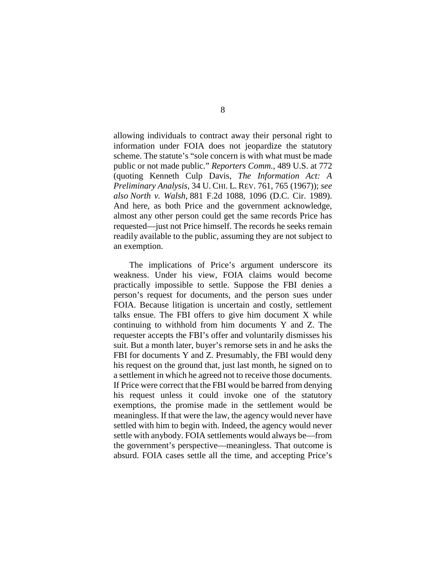allowing individuals to contract away their personal right to information under FOIA does not jeopardize the statutory scheme. The statute's "sole concern is with what must be made public or not made public." *Reporters Comm.*, 489 U.S. at 772 (quoting Kenneth Culp Davis, *The Information Act: A Preliminary Analysis*, 34 U. CHI. L. REV. 761, 765 (1967)); *see also North v. Walsh*, 881 F.2d 1088, 1096 (D.C. Cir. 1989). And here, as both Price and the government acknowledge, almost any other person could get the same records Price has requested—just not Price himself. The records he seeks remain readily available to the public, assuming they are not subject to an exemption.

The implications of Price's argument underscore its weakness. Under his view, FOIA claims would become practically impossible to settle. Suppose the FBI denies a person's request for documents, and the person sues under FOIA. Because litigation is uncertain and costly, settlement talks ensue. The FBI offers to give him document X while continuing to withhold from him documents Y and Z. The requester accepts the FBI's offer and voluntarily dismisses his suit. But a month later, buyer's remorse sets in and he asks the FBI for documents Y and Z. Presumably, the FBI would deny his request on the ground that, just last month, he signed on to a settlement in which he agreed not to receive those documents. If Price were correct that the FBI would be barred from denying his request unless it could invoke one of the statutory exemptions, the promise made in the settlement would be meaningless. If that were the law, the agency would never have settled with him to begin with. Indeed, the agency would never settle with anybody. FOIA settlements would always be—from the government's perspective—meaningless. That outcome is absurd. FOIA cases settle all the time, and accepting Price's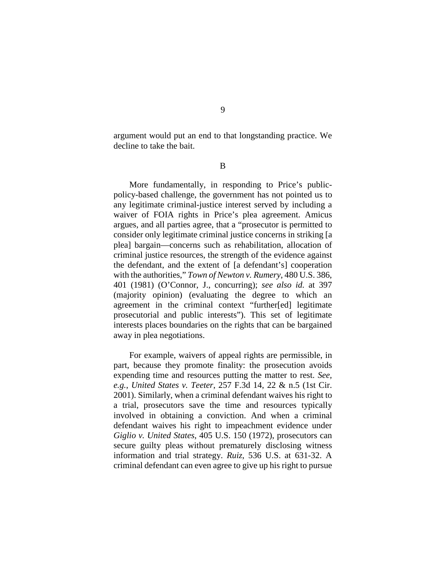argument would put an end to that longstanding practice. We decline to take the bait.

B

More fundamentally, in responding to Price's publicpolicy-based challenge, the government has not pointed us to any legitimate criminal-justice interest served by including a waiver of FOIA rights in Price's plea agreement. Amicus argues, and all parties agree, that a "prosecutor is permitted to consider only legitimate criminal justice concerns in striking [a plea] bargain—concerns such as rehabilitation, allocation of criminal justice resources, the strength of the evidence against the defendant, and the extent of [a defendant's] cooperation with the authorities," *Town of Newton v. Rumery*, 480 U.S. 386, 401 (1981) (O'Connor, J., concurring); *see also id.* at 397 (majority opinion) (evaluating the degree to which an agreement in the criminal context "further[ed] legitimate prosecutorial and public interests"). This set of legitimate interests places boundaries on the rights that can be bargained away in plea negotiations.

For example, waivers of appeal rights are permissible, in part, because they promote finality: the prosecution avoids expending time and resources putting the matter to rest. *See, e.g.*, *United States v. Teeter*, 257 F.3d 14, 22 & n.5 (1st Cir. 2001). Similarly, when a criminal defendant waives his right to a trial, prosecutors save the time and resources typically involved in obtaining a conviction. And when a criminal defendant waives his right to impeachment evidence under *Giglio v. United States*, 405 U.S. 150 (1972), prosecutors can secure guilty pleas without prematurely disclosing witness information and trial strategy. *Ruiz*, 536 U.S. at 631-32. A criminal defendant can even agree to give up his right to pursue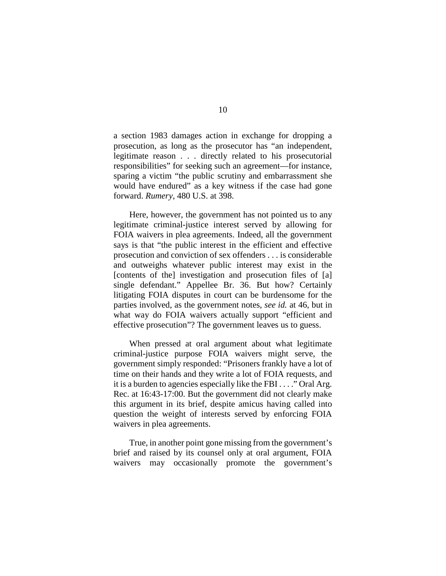a section 1983 damages action in exchange for dropping a prosecution, as long as the prosecutor has "an independent, legitimate reason . . . directly related to his prosecutorial responsibilities" for seeking such an agreement—for instance, sparing a victim "the public scrutiny and embarrassment she would have endured" as a key witness if the case had gone forward. *Rumery*, 480 U.S. at 398.

Here, however, the government has not pointed us to any legitimate criminal-justice interest served by allowing for FOIA waivers in plea agreements. Indeed, all the government says is that "the public interest in the efficient and effective prosecution and conviction of sex offenders . . . is considerable and outweighs whatever public interest may exist in the [contents of the] investigation and prosecution files of [a] single defendant." Appellee Br. 36. But how? Certainly litigating FOIA disputes in court can be burdensome for the parties involved, as the government notes, *see id.* at 46, but in what way do FOIA waivers actually support "efficient and effective prosecution"? The government leaves us to guess.

When pressed at oral argument about what legitimate criminal-justice purpose FOIA waivers might serve, the government simply responded: "Prisoners frankly have a lot of time on their hands and they write a lot of FOIA requests, and it is a burden to agencies especially like the FBI . . . ." Oral Arg. Rec. at 16:43-17:00. But the government did not clearly make this argument in its brief, despite amicus having called into question the weight of interests served by enforcing FOIA waivers in plea agreements.

True, in another point gone missing from the government's brief and raised by its counsel only at oral argument, FOIA waivers may occasionally promote the government's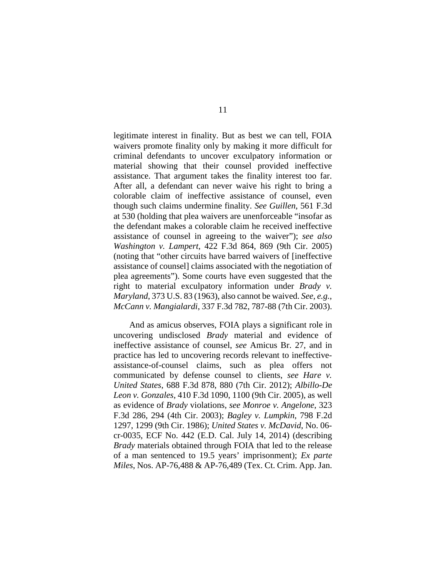legitimate interest in finality. But as best we can tell, FOIA waivers promote finality only by making it more difficult for criminal defendants to uncover exculpatory information or material showing that their counsel provided ineffective assistance. That argument takes the finality interest too far. After all, a defendant can never waive his right to bring a colorable claim of ineffective assistance of counsel, even though such claims undermine finality. *See Guillen*, 561 F.3d at 530 (holding that plea waivers are unenforceable "insofar as the defendant makes a colorable claim he received ineffective assistance of counsel in agreeing to the waiver"); *see also Washington v. Lampert*, 422 F.3d 864, 869 (9th Cir. 2005) (noting that "other circuits have barred waivers of [ineffective assistance of counsel] claims associated with the negotiation of plea agreements"). Some courts have even suggested that the right to material exculpatory information under *Brady v. Maryland*, 373 U.S. 83 (1963), also cannot be waived. *See, e.g.*, *McCann v. Mangialardi*, 337 F.3d 782, 787-88 (7th Cir. 2003).

And as amicus observes, FOIA plays a significant role in uncovering undisclosed *Brady* material and evidence of ineffective assistance of counsel, *see* Amicus Br. 27, and in practice has led to uncovering records relevant to ineffectiveassistance-of-counsel claims, such as plea offers not communicated by defense counsel to clients, *see Hare v. United States*, 688 F.3d 878, 880 (7th Cir. 2012); *Albillo-De Leon v. Gonzales*, 410 F.3d 1090, 1100 (9th Cir. 2005), as well as evidence of *Brady* violations, *see Monroe v. Angelone*, 323 F.3d 286, 294 (4th Cir. 2003); *Bagley v. Lumpkin*, 798 F.2d 1297, 1299 (9th Cir. 1986); *United States v. McDavid*, No. 06 cr-0035, ECF No. 442 (E.D. Cal. July 14, 2014) (describing *Brady* materials obtained through FOIA that led to the release of a man sentenced to 19.5 years' imprisonment); *Ex parte Miles*, Nos. AP-76,488 & AP-76,489 (Tex. Ct. Crim. App. Jan.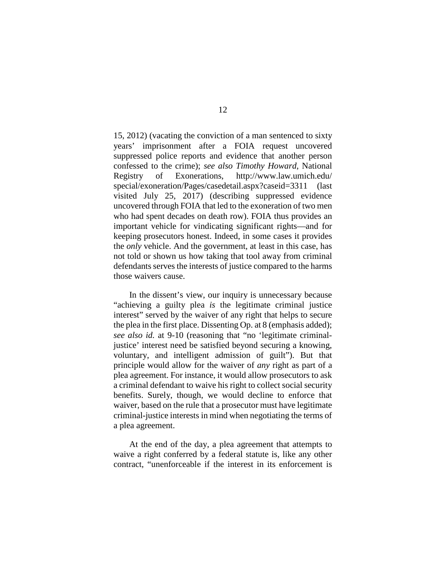15, 2012) (vacating the conviction of a man sentenced to sixty years' imprisonment after a FOIA request uncovered suppressed police reports and evidence that another person confessed to the crime); *see also Timothy Howard*, National Registry of Exonerations, http://www.law.umich.edu/ special/exoneration/Pages/casedetail.aspx?caseid=3311 (last visited July 25, 2017) (describing suppressed evidence uncovered through FOIA that led to the exoneration of two men who had spent decades on death row). FOIA thus provides an important vehicle for vindicating significant rights—and for keeping prosecutors honest. Indeed, in some cases it provides the *only* vehicle. And the government, at least in this case, has not told or shown us how taking that tool away from criminal defendants serves the interests of justice compared to the harms those waivers cause.

In the dissent's view, our inquiry is unnecessary because "achieving a guilty plea *is* the legitimate criminal justice interest" served by the waiver of any right that helps to secure the plea in the first place. Dissenting Op. at 8 (emphasis added); *see also id.* at 9-10 (reasoning that "no 'legitimate criminaljustice' interest need be satisfied beyond securing a knowing, voluntary, and intelligent admission of guilt"). But that principle would allow for the waiver of *any* right as part of a plea agreement. For instance, it would allow prosecutors to ask a criminal defendant to waive his right to collect social security benefits. Surely, though, we would decline to enforce that waiver, based on the rule that a prosecutor must have legitimate criminal-justice interests in mind when negotiating the terms of a plea agreement.

At the end of the day, a plea agreement that attempts to waive a right conferred by a federal statute is, like any other contract, "unenforceable if the interest in its enforcement is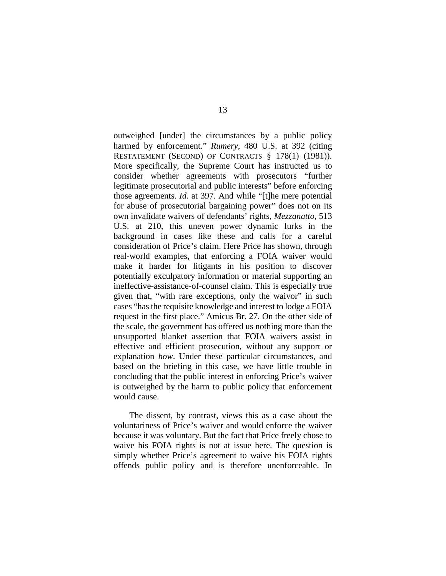outweighed [under] the circumstances by a public policy harmed by enforcement." *Rumery*, 480 U.S. at 392 (citing RESTATEMENT (SECOND) OF CONTRACTS § 178(1) (1981)). More specifically, the Supreme Court has instructed us to consider whether agreements with prosecutors "further legitimate prosecutorial and public interests" before enforcing those agreements. *Id.* at 397. And while "[t]he mere potential for abuse of prosecutorial bargaining power" does not on its own invalidate waivers of defendants' rights, *Mezzanatto*, 513 U.S. at 210, this uneven power dynamic lurks in the background in cases like these and calls for a careful consideration of Price's claim. Here Price has shown, through real-world examples, that enforcing a FOIA waiver would make it harder for litigants in his position to discover potentially exculpatory information or material supporting an ineffective-assistance-of-counsel claim. This is especially true given that, "with rare exceptions, only the waivor" in such cases "has the requisite knowledge and interest to lodge a FOIA request in the first place." Amicus Br. 27. On the other side of the scale, the government has offered us nothing more than the unsupported blanket assertion that FOIA waivers assist in effective and efficient prosecution, without any support or explanation *how*. Under these particular circumstances, and based on the briefing in this case, we have little trouble in concluding that the public interest in enforcing Price's waiver is outweighed by the harm to public policy that enforcement would cause.

The dissent, by contrast, views this as a case about the voluntariness of Price's waiver and would enforce the waiver because it was voluntary. But the fact that Price freely chose to waive his FOIA rights is not at issue here. The question is simply whether Price's agreement to waive his FOIA rights offends public policy and is therefore unenforceable. In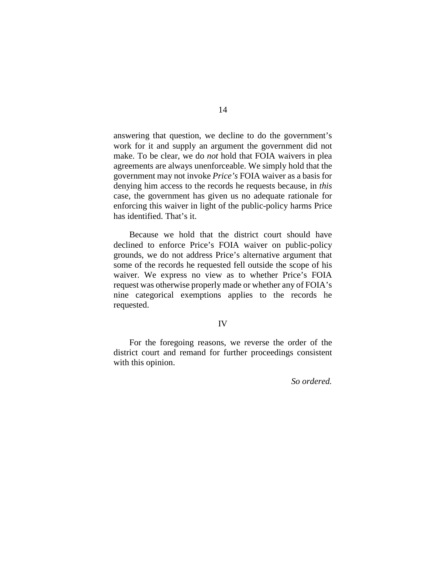answering that question, we decline to do the government's work for it and supply an argument the government did not make. To be clear, we do *not* hold that FOIA waivers in plea agreements are always unenforceable. We simply hold that the government may not invoke *Price's* FOIA waiver as a basis for denying him access to the records he requests because, in *this* case, the government has given us no adequate rationale for enforcing this waiver in light of the public-policy harms Price has identified. That's it.

Because we hold that the district court should have declined to enforce Price's FOIA waiver on public-policy grounds, we do not address Price's alternative argument that some of the records he requested fell outside the scope of his waiver. We express no view as to whether Price's FOIA request was otherwise properly made or whether any of FOIA's nine categorical exemptions applies to the records he requested.

# IV

For the foregoing reasons, we reverse the order of the district court and remand for further proceedings consistent with this opinion.

*So ordered.*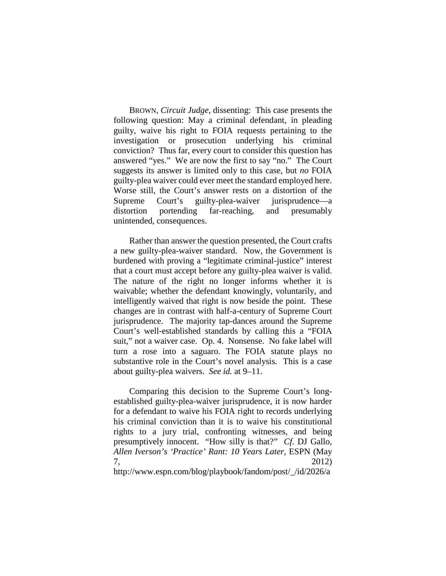BROWN, *Circuit Judge*, dissenting: This case presents the following question: May a criminal defendant, in pleading guilty, waive his right to FOIA requests pertaining to the investigation or prosecution underlying his criminal conviction? Thus far, every court to consider this question has answered "yes." We are now the first to say "no." The Court suggests its answer is limited only to this case, but *no* FOIA guilty-plea waiver could ever meet the standard employed here. Worse still, the Court's answer rests on a distortion of the Supreme Court's guilty-plea-waiver jurisprudence—a distortion portending far-reaching, and presumably unintended, consequences.

Rather than answer the question presented, the Court crafts a new guilty-plea-waiver standard. Now, the Government is burdened with proving a "legitimate criminal-justice" interest that a court must accept before any guilty-plea waiver is valid. The nature of the right no longer informs whether it is waivable; whether the defendant knowingly, voluntarily, and intelligently waived that right is now beside the point. These changes are in contrast with half-a-century of Supreme Court jurisprudence. The majority tap-dances around the Supreme Court's well-established standards by calling this a "FOIA suit," not a waiver case. Op. 4. Nonsense. No fake label will turn a rose into a saguaro. The FOIA statute plays no substantive role in the Court's novel analysis. This is a case about guilty-plea waivers. *See id.* at 9–11.

Comparing this decision to the Supreme Court's longestablished guilty-plea-waiver jurisprudence, it is now harder for a defendant to waive his FOIA right to records underlying his criminal conviction than it is to waive his constitutional rights to a jury trial, confronting witnesses, and being presumptively innocent. "How silly is that?" *Cf.* DJ Gallo, *Allen Iverson's 'Practice' Rant: 10 Years Later*, ESPN (May 7, 2012) http://www.espn.com/blog/playbook/fandom/post/\_/id/2026/a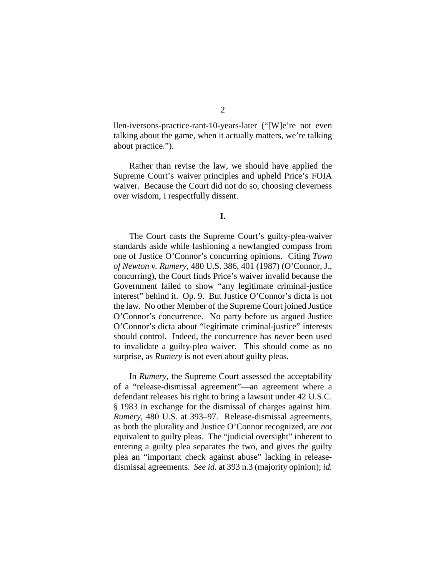llen-iversons-practice-rant-10-years-later ("[W]e're not even talking about the game, when it actually matters, we're talking about practice.").

Rather than revise the law, we should have applied the Supreme Court's waiver principles and upheld Price's FOIA waiver. Because the Court did not do so, choosing cleverness over wisdom, I respectfully dissent.

#### **I.**

The Court casts the Supreme Court's guilty-plea-waiver standards aside while fashioning a newfangled compass from one of Justice O'Connor's concurring opinions. Citing *Town of Newton v. Rumery*, 480 U.S. 386, 401 (1987) (O'Connor, J., concurring), the Court finds Price's waiver invalid because the Government failed to show "any legitimate criminal-justice interest" behind it. Op. 9. But Justice O'Connor's dicta is not the law. No other Member of the Supreme Court joined Justice O'Connor's concurrence. No party before us argued Justice O'Connor's dicta about "legitimate criminal-justice" interests should control. Indeed, the concurrence has *never* been used to invalidate a guilty-plea waiver. This should come as no surprise, as *Rumery* is not even about guilty pleas.

In *Rumery*, the Supreme Court assessed the acceptability of a "release-dismissal agreement"—an agreement where a defendant releases his right to bring a lawsuit under 42 U.S.C. § 1983 in exchange for the dismissal of charges against him. *Rumery*, 480 U.S. at 393–97. Release-dismissal agreements, as both the plurality and Justice O'Connor recognized, are *not* equivalent to guilty pleas. The "judicial oversight" inherent to entering a guilty plea separates the two, and gives the guilty plea an "important check against abuse" lacking in releasedismissal agreements. *See id.* at 393 n.3 (majority opinion); *id.*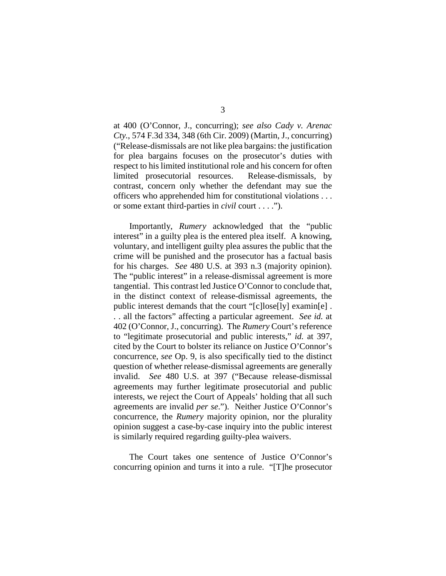at 400 (O'Connor, J., concurring); *see also Cady v. Arenac Cty.*, 574 F.3d 334, 348 (6th Cir. 2009) (Martin, J., concurring) ("Release-dismissals are not like plea bargains: the justification for plea bargains focuses on the prosecutor's duties with respect to his limited institutional role and his concern for often limited prosecutorial resources. Release-dismissals, by contrast, concern only whether the defendant may sue the officers who apprehended him for constitutional violations . . . or some extant third-parties in *civil* court . . . .").

Importantly, *Rumery* acknowledged that the "public interest" in a guilty plea is the entered plea itself. A knowing, voluntary, and intelligent guilty plea assures the public that the crime will be punished and the prosecutor has a factual basis for his charges. *See* 480 U.S. at 393 n.3 (majority opinion). The "public interest" in a release-dismissal agreement is more tangential. This contrast led Justice O'Connor to conclude that, in the distinct context of release-dismissal agreements, the public interest demands that the court "[c]lose[ly] examin[e] . . . all the factors" affecting a particular agreement. *See id.* at 402 (O'Connor, J., concurring). The *Rumery* Court's reference to "legitimate prosecutorial and public interests," *id.* at 397, cited by the Court to bolster its reliance on Justice O'Connor's concurrence, *see* Op. 9, is also specifically tied to the distinct question of whether release-dismissal agreements are generally invalid. *See* 480 U.S. at 397 ("Because release-dismissal agreements may further legitimate prosecutorial and public interests, we reject the Court of Appeals' holding that all such agreements are invalid *per se*."). Neither Justice O'Connor's concurrence, the *Rumery* majority opinion, nor the plurality opinion suggest a case-by-case inquiry into the public interest is similarly required regarding guilty-plea waivers.

The Court takes one sentence of Justice O'Connor's concurring opinion and turns it into a rule. "[T]he prosecutor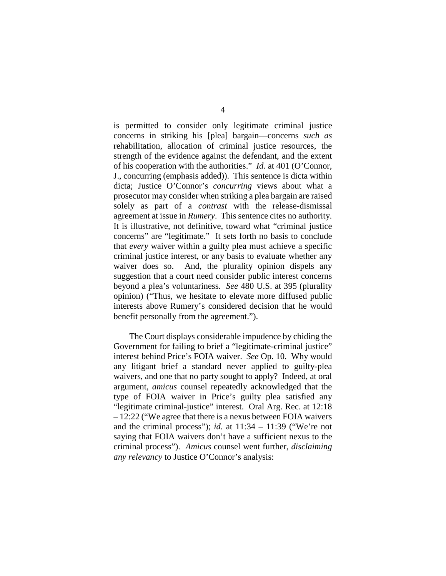is permitted to consider only legitimate criminal justice concerns in striking his [plea] bargain—concerns *such as* rehabilitation, allocation of criminal justice resources, the strength of the evidence against the defendant, and the extent of his cooperation with the authorities." *Id.* at 401 (O'Connor, J., concurring (emphasis added)). This sentence is dicta within dicta; Justice O'Connor's *concurring* views about what a prosecutor may consider when striking a plea bargain are raised solely as part of a *contrast* with the release-dismissal agreement at issue in *Rumery*. This sentence cites no authority. It is illustrative, not definitive, toward what "criminal justice concerns" are "legitimate." It sets forth no basis to conclude that *every* waiver within a guilty plea must achieve a specific criminal justice interest, or any basis to evaluate whether any waiver does so. And, the plurality opinion dispels any suggestion that a court need consider public interest concerns beyond a plea's voluntariness. *See* 480 U.S. at 395 (plurality opinion) ("Thus, we hesitate to elevate more diffused public interests above Rumery's considered decision that he would benefit personally from the agreement.").

The Court displays considerable impudence by chiding the Government for failing to brief a "legitimate-criminal justice" interest behind Price's FOIA waiver. *See* Op. 10. Why would any litigant brief a standard never applied to guilty-plea waivers, and one that no party sought to apply? Indeed, at oral argument, *amicus* counsel repeatedly acknowledged that the type of FOIA waiver in Price's guilty plea satisfied any "legitimate criminal-justice" interest. Oral Arg. Rec. at 12:18 – 12:22 ("We agree that there is a nexus between FOIA waivers and the criminal process"); *id.* at  $11:34 - 11:39$  ("We're not saying that FOIA waivers don't have a sufficient nexus to the criminal process"). *Amicus* counsel went further, *disclaiming any relevancy* to Justice O'Connor's analysis: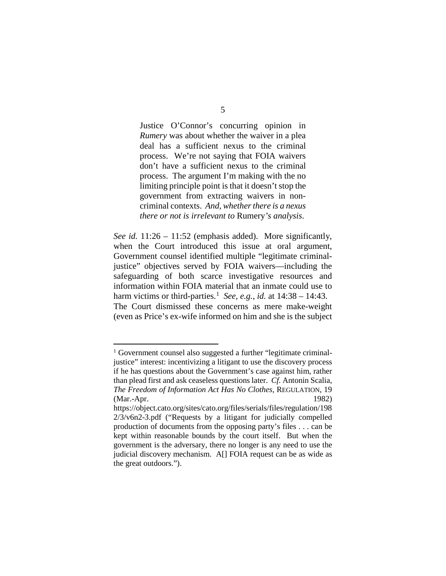Justice O'Connor's concurring opinion in *Rumery* was about whether the waiver in a plea deal has a sufficient nexus to the criminal process. We're not saying that FOIA waivers don't have a sufficient nexus to the criminal process. The argument I'm making with the no limiting principle point is that it doesn't stop the government from extracting waivers in noncriminal contexts. *And, whether there is a nexus there or not is irrelevant to* Rumery*'s analysis*.

*See id.* 11:26 – 11:52 (emphasis added). More significantly, when the Court introduced this issue at oral argument, Government counsel identified multiple "legitimate criminaljustice" objectives served by FOIA waivers—including the safeguarding of both scarce investigative resources and information within FOIA material that an inmate could use to harm victims or third-parties.<sup>[1](#page-18-0)</sup> See, e.g., *id.* at  $14:38 - 14:43$ . The Court dismissed these concerns as mere make-weight (even as Price's ex-wife informed on him and she is the subject

<span id="page-18-0"></span> <sup>1</sup> Government counsel also suggested a further "legitimate criminaljustice" interest: incentivizing a litigant to use the discovery process if he has questions about the Government's case against him, rather than plead first and ask ceaseless questions later. *Cf.* Antonin Scalia, *The Freedom of Information Act Has No Clothes*, REGULATION, 19 (Mar.-Apr. 1982)

https://object.cato.org/sites/cato.org/files/serials/files/regulation/198 2/3/v6n2-3.pdf ("Requests by a litigant for judicially compelled production of documents from the opposing party's files . . . can be kept within reasonable bounds by the court itself. But when the government is the adversary, there no longer is any need to use the judicial discovery mechanism. A[] FOIA request can be as wide as the great outdoors.").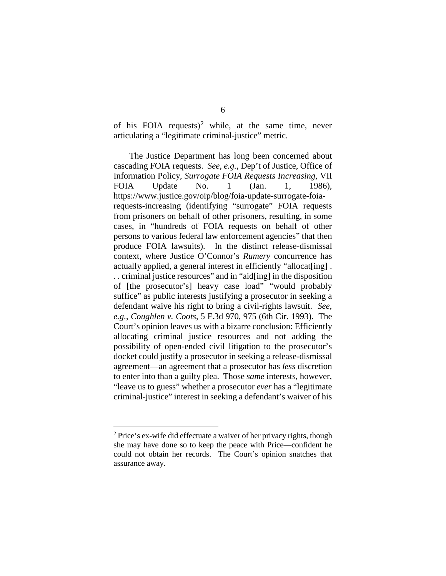of his FOIA requests)<sup>[2](#page-19-0)</sup> while, at the same time, never articulating a "legitimate criminal-justice" metric.

The Justice Department has long been concerned about cascading FOIA requests. *See, e.g.*, Dep't of Justice, Office of Information Policy, *Surrogate FOIA Requests Increasing*, VII FOIA Update No. 1 (Jan. 1, 1986), https://www.justice.gov/oip/blog/foia-update-surrogate-foiarequests-increasing (identifying "surrogate" FOIA requests from prisoners on behalf of other prisoners, resulting, in some cases, in "hundreds of FOIA requests on behalf of other persons to various federal law enforcement agencies" that then produce FOIA lawsuits). In the distinct release-dismissal context, where Justice O'Connor's *Rumery* concurrence has actually applied, a general interest in efficiently "allocat<sup>[ing]</sup>. . . criminal justice resources" and in "aid[ing] in the disposition of [the prosecutor's] heavy case load" "would probably suffice" as public interests justifying a prosecutor in seeking a defendant waive his right to bring a civil-rights lawsuit. *See, e.g.*, *Coughlen v. Coots*, 5 F.3d 970, 975 (6th Cir. 1993). The Court's opinion leaves us with a bizarre conclusion: Efficiently allocating criminal justice resources and not adding the possibility of open-ended civil litigation to the prosecutor's docket could justify a prosecutor in seeking a release-dismissal agreement—an agreement that a prosecutor has *less* discretion to enter into than a guilty plea. Those *same* interests, however, "leave us to guess" whether a prosecutor *ever* has a "legitimate criminal-justice" interest in seeking a defendant's waiver of his

<span id="page-19-0"></span><sup>&</sup>lt;sup>2</sup> Price's ex-wife did effectuate a waiver of her privacy rights, though she may have done so to keep the peace with Price—confident he could not obtain her records. The Court's opinion snatches that assurance away.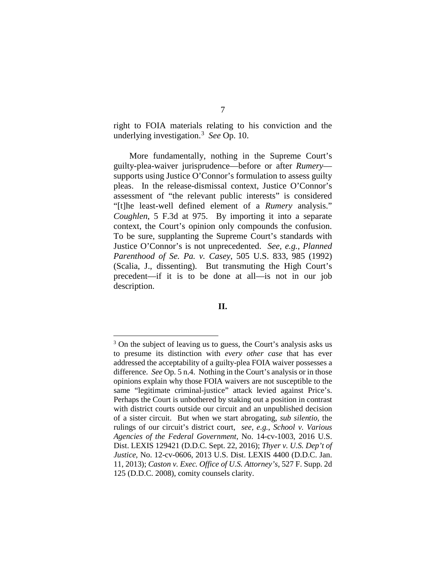right to FOIA materials relating to his conviction and the underlying investigation.[3](#page-20-0) *See* Op. 10.

More fundamentally, nothing in the Supreme Court's guilty-plea-waiver jurisprudence—before or after *Rumery* supports using Justice O'Connor's formulation to assess guilty pleas. In the release-dismissal context, Justice O'Connor's assessment of "the relevant public interests" is considered "[t]he least-well defined element of a *Rumery* analysis." *Coughlen*, 5 F.3d at 975. By importing it into a separate context, the Court's opinion only compounds the confusion. To be sure, supplanting the Supreme Court's standards with Justice O'Connor's is not unprecedented. *See, e.g.*, *Planned Parenthood of Se. Pa. v. Casey*, 505 U.S. 833, 985 (1992) (Scalia, J., dissenting). But transmuting the High Court's precedent—if it is to be done at all—is not in our job description.

### **II.**

<span id="page-20-0"></span><sup>&</sup>lt;sup>3</sup> On the subject of leaving us to guess, the Court's analysis asks us to presume its distinction with *every other case* that has ever addressed the acceptability of a guilty-plea FOIA waiver possesses a difference. *See* Op. 5 n.4. Nothing in the Court's analysis or in those opinions explain why those FOIA waivers are not susceptible to the same "legitimate criminal-justice" attack levied against Price's. Perhaps the Court is unbothered by staking out a position in contrast with district courts outside our circuit and an unpublished decision of a sister circuit. But when we start abrogating, *sub silentio*, the rulings of our circuit's district court, *see, e.g.*, *School v. Various Agencies of the Federal Government*, No. 14-cv-1003, 2016 U.S. Dist. LEXIS 129421 (D.D.C. Sept. 22, 2016); *Thyer v. U.S. Dep't of Justice*, No. 12-cv-0606, 2013 U.S. Dist. LEXIS 4400 (D.D.C. Jan. 11, 2013); *Caston v. Exec. Office of U.S. Attorney's*, 527 F. Supp. 2d 125 (D.D.C. 2008), comity counsels clarity.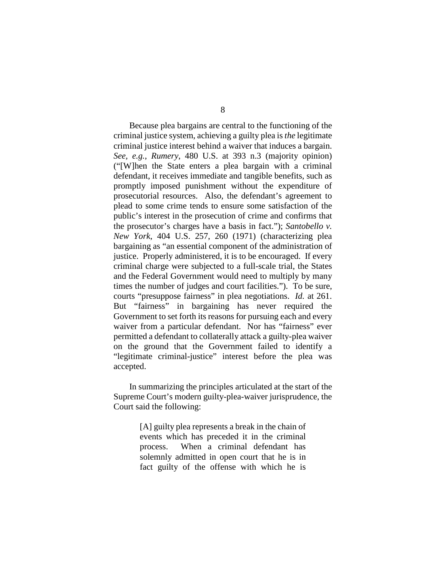Because plea bargains are central to the functioning of the criminal justice system, achieving a guilty plea is *the* legitimate criminal justice interest behind a waiver that induces a bargain. *See, e.g.*, *Rumery*, 480 U.S. at 393 n.3 (majority opinion) ("[W]hen the State enters a plea bargain with a criminal defendant, it receives immediate and tangible benefits, such as promptly imposed punishment without the expenditure of prosecutorial resources. Also, the defendant's agreement to plead to some crime tends to ensure some satisfaction of the public's interest in the prosecution of crime and confirms that the prosecutor's charges have a basis in fact."); *Santobello v. New York*, 404 U.S. 257, 260 (1971) (characterizing plea bargaining as "an essential component of the administration of justice. Properly administered, it is to be encouraged. If every criminal charge were subjected to a full-scale trial, the States and the Federal Government would need to multiply by many times the number of judges and court facilities."). To be sure, courts "presuppose fairness" in plea negotiations. *Id.* at 261. But "fairness" in bargaining has never required the Government to set forth its reasons for pursuing each and every waiver from a particular defendant. Nor has "fairness" ever permitted a defendant to collaterally attack a guilty-plea waiver on the ground that the Government failed to identify a "legitimate criminal-justice" interest before the plea was accepted.

In summarizing the principles articulated at the start of the Supreme Court's modern guilty-plea-waiver jurisprudence, the Court said the following:

> [A] guilty plea represents a break in the chain of events which has preceded it in the criminal process. When a criminal defendant has solemnly admitted in open court that he is in fact guilty of the offense with which he is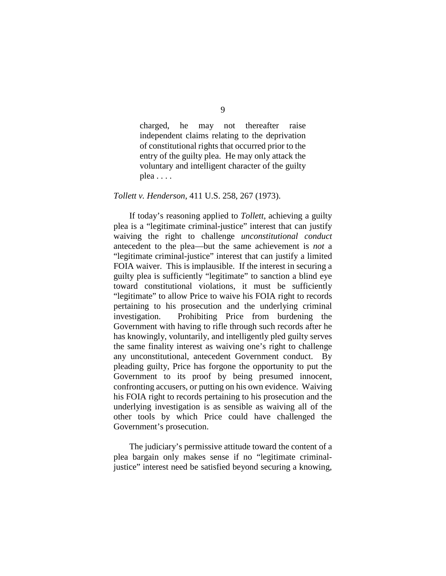9

charged, he may not thereafter raise independent claims relating to the deprivation of constitutional rights that occurred prior to the entry of the guilty plea. He may only attack the voluntary and intelligent character of the guilty plea . . . .

# *Tollett v. Henderson*, 411 U.S. 258, 267 (1973).

If today's reasoning applied to *Tollett*, achieving a guilty plea is a "legitimate criminal-justice" interest that can justify waiving the right to challenge *unconstitutional conduct* antecedent to the plea—but the same achievement is *not* a "legitimate criminal-justice" interest that can justify a limited FOIA waiver. This is implausible. If the interest in securing a guilty plea is sufficiently "legitimate" to sanction a blind eye toward constitutional violations, it must be sufficiently "legitimate" to allow Price to waive his FOIA right to records pertaining to his prosecution and the underlying criminal investigation. Prohibiting Price from burdening the Government with having to rifle through such records after he has knowingly, voluntarily, and intelligently pled guilty serves the same finality interest as waiving one's right to challenge any unconstitutional, antecedent Government conduct. By pleading guilty, Price has forgone the opportunity to put the Government to its proof by being presumed innocent, confronting accusers, or putting on his own evidence. Waiving his FOIA right to records pertaining to his prosecution and the underlying investigation is as sensible as waiving all of the other tools by which Price could have challenged the Government's prosecution.

The judiciary's permissive attitude toward the content of a plea bargain only makes sense if no "legitimate criminaljustice" interest need be satisfied beyond securing a knowing,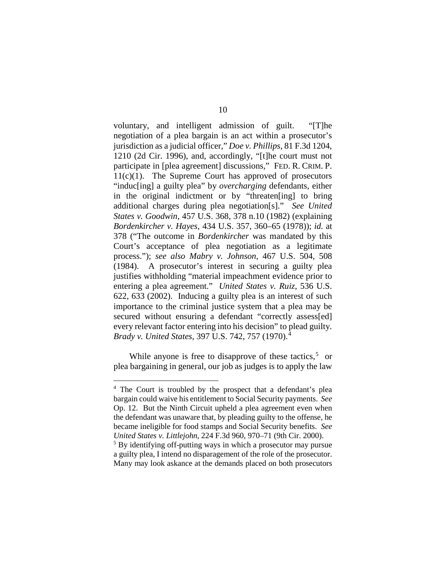voluntary, and intelligent admission of guilt. "[T]he negotiation of a plea bargain is an act within a prosecutor's jurisdiction as a judicial officer," *Doe v. Phillips*, 81 F.3d 1204, 1210 (2d Cir. 1996), and, accordingly, "[t]he court must not participate in [plea agreement] discussions," FED. R. CRIM. P.  $11(c)(1)$ . The Supreme Court has approved of prosecutors "induc[ing] a guilty plea" by *overcharging* defendants, either in the original indictment or by "threaten[ing] to bring additional charges during plea negotiation[s]." *See United States v. Goodwin*, 457 U.S. 368, 378 n.10 (1982) (explaining *Bordenkircher v. Hayes*, 434 U.S. 357, 360–65 (1978)); *id.* at 378 ("The outcome in *Bordenkircher* was mandated by this Court's acceptance of plea negotiation as a legitimate process."); *see also Mabry v. Johnson*, 467 U.S. 504, 508 (1984). A prosecutor's interest in securing a guilty plea justifies withholding "material impeachment evidence prior to entering a plea agreement." *United States v. Ruiz*, 536 U.S. 622, 633 (2002). Inducing a guilty plea is an interest of such importance to the criminal justice system that a plea may be secured without ensuring a defendant "correctly assess[ed] every relevant factor entering into his decision" to plead guilty. *Brady v. United States*, 397 U.S. 742, 757 (1970).[4](#page-23-0)

While anyone is free to disapprove of these tactics, $5$  or plea bargaining in general, our job as judges is to apply the law

<span id="page-23-0"></span> <sup>4</sup> The Court is troubled by the prospect that a defendant's plea bargain could waive his entitlement to Social Security payments. *See* Op. 12. But the Ninth Circuit upheld a plea agreement even when the defendant was unaware that, by pleading guilty to the offense, he became ineligible for food stamps and Social Security benefits. *See United States v. Littlejohn*, 224 F.3d 960, 970–71 (9th Cir. 2000).<br><sup>5</sup> By identifying off-putting ways in which a prosecutor may pursue

<span id="page-23-1"></span>a guilty plea, I intend no disparagement of the role of the prosecutor. Many may look askance at the demands placed on both prosecutors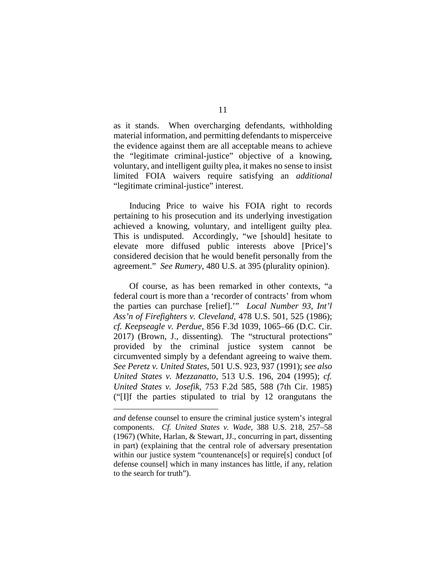as it stands. When overcharging defendants, withholding material information, and permitting defendants to misperceive the evidence against them are all acceptable means to achieve the "legitimate criminal-justice" objective of a knowing, voluntary, and intelligent guilty plea, it makes no sense to insist limited FOIA waivers require satisfying an *additional* "legitimate criminal-justice" interest.

Inducing Price to waive his FOIA right to records pertaining to his prosecution and its underlying investigation achieved a knowing, voluntary, and intelligent guilty plea. This is undisputed. Accordingly, "we [should] hesitate to elevate more diffused public interests above [Price]'s considered decision that he would benefit personally from the agreement." *See Rumery*, 480 U.S. at 395 (plurality opinion).

Of course, as has been remarked in other contexts, "a federal court is more than a 'recorder of contracts' from whom the parties can purchase [relief].'" *Local Number 93, Int'l Ass'n of Firefighters v. Cleveland*, 478 U.S. 501, 525 (1986); *cf. Keepseagle v. Perdue*, 856 F.3d 1039, 1065–66 (D.C. Cir. 2017) (Brown, J., dissenting). The "structural protections" provided by the criminal justice system cannot be circumvented simply by a defendant agreeing to waive them. *See Peretz v. United States*, 501 U.S. 923, 937 (1991); *see also United States v. Mezzanatto*, 513 U.S. 196, 204 (1995); *cf. United States v. Josefik*, 753 F.2d 585, 588 (7th Cir. 1985) ("[I]f the parties stipulated to trial by 12 orangutans the

 $\overline{a}$ 

*and* defense counsel to ensure the criminal justice system's integral components. *Cf. United States v. Wade*, 388 U.S. 218, 257–58 (1967) (White, Harlan, & Stewart, JJ., concurring in part, dissenting in part) (explaining that the central role of adversary presentation within our justice system "countenance[s] or require[s] conduct [of defense counsel] which in many instances has little, if any, relation to the search for truth").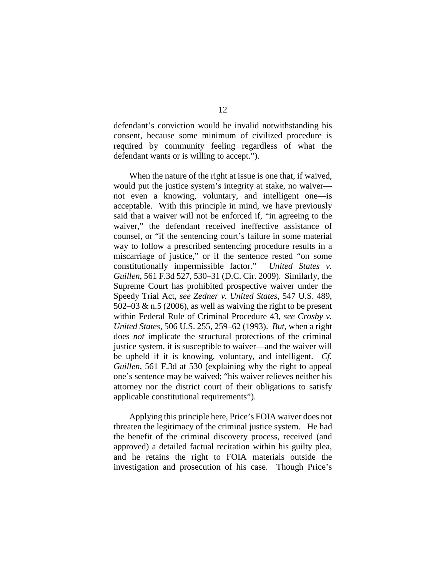defendant's conviction would be invalid notwithstanding his consent, because some minimum of civilized procedure is required by community feeling regardless of what the defendant wants or is willing to accept.").

When the nature of the right at issue is one that, if waived, would put the justice system's integrity at stake, no waiver not even a knowing, voluntary, and intelligent one—is acceptable. With this principle in mind, we have previously said that a waiver will not be enforced if, "in agreeing to the waiver," the defendant received ineffective assistance of counsel, or "if the sentencing court's failure in some material way to follow a prescribed sentencing procedure results in a miscarriage of justice," or if the sentence rested "on some constitutionally impermissible factor." *United States v. Guillen*, 561 F.3d 527, 530–31 (D.C. Cir. 2009). Similarly, the Supreme Court has prohibited prospective waiver under the Speedy Trial Act, *see Zedner v. United States*, 547 U.S. 489, 502–03  $\&$  n.5 (2006), as well as waiving the right to be present within Federal Rule of Criminal Procedure 43, *see Crosby v. United States*, 506 U.S. 255, 259–62 (1993). *But*, when a right does *not* implicate the structural protections of the criminal justice system, it is susceptible to waiver—and the waiver will be upheld if it is knowing, voluntary, and intelligent. *Cf. Guillen*, 561 F.3d at 530 (explaining why the right to appeal one's sentence may be waived; "his waiver relieves neither his attorney nor the district court of their obligations to satisfy applicable constitutional requirements").

Applying this principle here, Price's FOIA waiver does not threaten the legitimacy of the criminal justice system. He had the benefit of the criminal discovery process, received (and approved) a detailed factual recitation within his guilty plea, and he retains the right to FOIA materials outside the investigation and prosecution of his case. Though Price's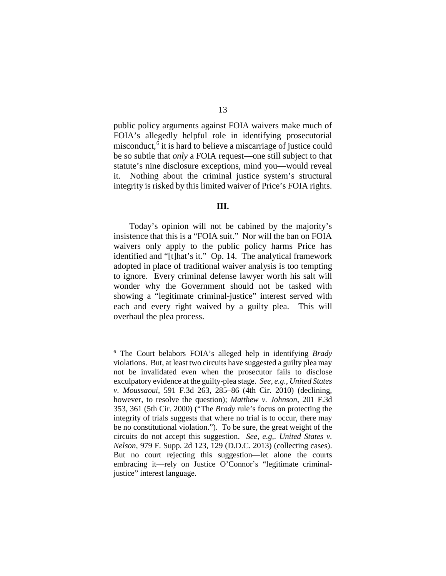public policy arguments against FOIA waivers make much of FOIA's allegedly helpful role in identifying prosecutorial misconduct,<sup>[6](#page-26-0)</sup> it is hard to believe a miscarriage of justice could be so subtle that *only* a FOIA request—one still subject to that statute's nine disclosure exceptions, mind you—would reveal it. Nothing about the criminal justice system's structural integrity is risked by this limited waiver of Price's FOIA rights.

# **III.**

Today's opinion will not be cabined by the majority's insistence that this is a "FOIA suit." Nor will the ban on FOIA waivers only apply to the public policy harms Price has identified and "[t]hat's it." Op. 14. The analytical framework adopted in place of traditional waiver analysis is too tempting to ignore. Every criminal defense lawyer worth his salt will wonder why the Government should not be tasked with showing a "legitimate criminal-justice" interest served with each and every right waived by a guilty plea. This will overhaul the plea process.

<span id="page-26-0"></span> <sup>6</sup> The Court belabors FOIA's alleged help in identifying *Brady* violations. But, at least two circuits have suggested a guilty plea may not be invalidated even when the prosecutor fails to disclose exculpatory evidence at the guilty-plea stage. *See, e.g.*, *United States v. Moussaoui*, 591 F.3d 263, 285–86 (4th Cir. 2010) (declining, however, to resolve the question); *Matthew v. Johnson*, 201 F.3d 353, 361 (5th Cir. 2000) ("The *Brady* rule's focus on protecting the integrity of trials suggests that where no trial is to occur, there may be no constitutional violation."). To be sure, the great weight of the circuits do not accept this suggestion. *See, e.g,*. *United States v. Nelson*, 979 F. Supp. 2d 123, 129 (D.D.C. 2013) (collecting cases). But no court rejecting this suggestion—let alone the courts embracing it—rely on Justice O'Connor's "legitimate criminaljustice" interest language.